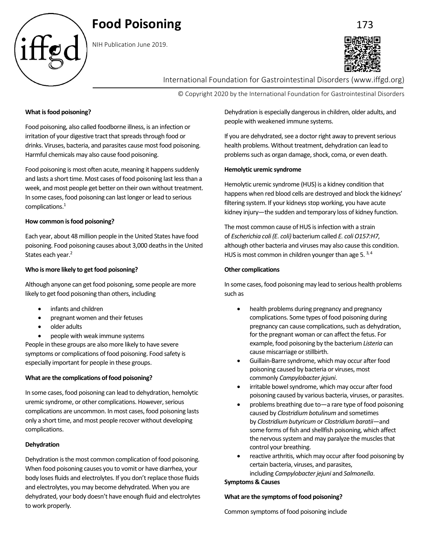

# **Food Poisoning 173**

NIH Publication June 2019.



International Foundation for Gastrointestinal Disorders (www.iffgd.org)

© Copyright 2020 by the International Foundation for Gastrointestinal Disorders

# **What is food poisoning?**

Food poisoning, also called foodborne illness, is an infection or irritation of your digestive tract that spreads through food or drinks. Viruses, bacteria, and parasites cause most food poisoning. Harmful chemicals may also cause food poisoning.

Food poisoning is most often acute, meaning it happens suddenly and lasts a short time. Most cases of food poisoning last less than a week, and most people get better on their own without treatment. In some cases, food poisoning can last longer or lead to serious complications.<sup>1</sup>

# **How common is food poisoning?**

Each year, about 48 million people in the United States have food poisoning. Food poisoning causes about 3,000 deaths in the United States each year.<sup>2</sup>

# **Who is more likely to get food poisoning?**

Although anyone can get food poisoning, some people are more likely to get food poisoning than others, including

- infants and children
- pregnant women and their fetuses
- older adults
- people with weak immune systems

People in these groups are also more likely to have severe symptoms or complications of food poisoning. Food safety is especially important for people in these groups.

# **What are the complications of food poisoning?**

In some cases, food poisoning can lead to dehydration, hemolytic uremic syndrome, or other complications. However, serious complications are uncommon. In most cases, food poisoning lasts only a short time, and most people recover without developing complications.

# **Dehydration**

Dehydration is the most common complication of food poisoning. When food poisoning causes you to vomit or have diarrhea, your body loses fluids and electrolytes. If you don't replace those fluids and electrolytes, you may become dehydrated. When you are dehydrated, your body doesn't have enough fluid and electrolytes to work properly.

Dehydration is especially dangerous in children, older adults, and people with weakened immune systems.

If you are dehydrated, see a doctor right away to prevent serious health problems. Without treatment, dehydration can lead to problems such as organ damage, shock, coma, or even death.

# **Hemolytic uremic syndrome**

Hemolytic uremic syndrome (HUS) is a kidney condition that happens when red blood cells are destroyed and block the kidneys' filtering system. If your kidneys stop working, you have acute kidney injury—the sudden and temporary loss of kidney function.

The most common cause of HUS is infection with a strain of *Escherichia coli (E. coli)* bacterium called *E. coli O157:H7*, although other bacteria and viruses may also cause this condition. HUS is most common in children younger than age 5.  $3,4$ 

# **Other complications**

In some cases, food poisoning may lead to serious health problems such as

- health problems during pregnancy and pregnancy complications. Some types of food poisoning during pregnancy can cause complications, such as dehydration, for the pregnant woman or can affect the fetus. For example, food poisoning by the bacterium *Listeria* can cause miscarriage or stillbirth.
- Guillain-Barre syndrome, which may occur after food poisoning caused by bacteria or viruses, most commonly *Campylobacter jejuni*.
- irritable bowel syndrome, which may occur after food poisoning caused by various bacteria, viruses, or parasites.
- problems breathing due to—a rare type of food poisoning caused by *Clostridium botulinum* and sometimes by *Clostridium butyricum* or *Clostridium baratii*—and some forms of fish and shellfish poisoning, which affect the nervous system and may paralyze the muscles that control your breathing.
- reactive arthritis, which may occur after food poisoning by certain bacteria, viruses, and parasites, including *Campylobacter jejuni* and *Salmonella*.

# **Symptoms & Causes**

# **What are the symptoms of food poisoning?**

Common symptoms of food poisoning include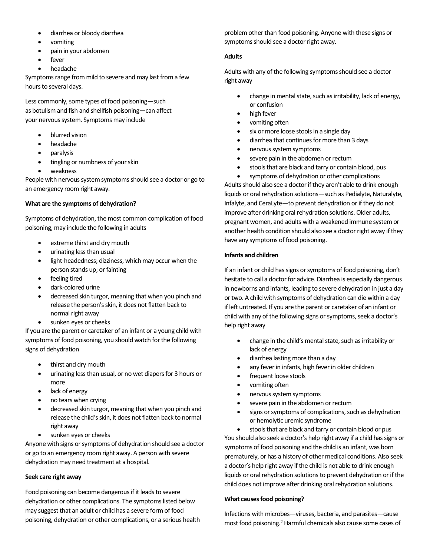- diarrhea or bloody diarrhea
- vomiting
- pain in your abdomen
- fever
- headache

Symptoms range from mild to severe and may last from a few hours to several days.

Less commonly, some types of food poisoning—such as botulismand fish and shellfish poisoning—can affect your nervous system. Symptoms may include

- blurred vision
- headache
- paralysis
- tingling or numbness of your skin
- weakness

People with nervous system symptoms should see a doctor or go to an emergency room right away.

# **What are the symptoms of dehydration?**

Symptoms of dehydration, the most common complication of food poisoning, may include the following in adults

- extreme thirst and dry mouth
- urinating less than usual
- light-headedness; dizziness, which may occur when the person stands up; or fainting
- feeling tired
- dark-colored urine
- decreased skin turgor, meaning that when you pinch and release the person's skin, it does not flatten back to normal right away
- sunken eyes or cheeks

If you are the parent or caretaker of an infant or a young child with symptoms of food poisoning, you should watch for the following signs of dehydration

- thirst and dry mouth
- urinating less than usual, or no wet diapers for 3 hours or more
- lack of energy
- no tears when crying
- decreased skin turgor, meaning that when you pinch and release the child's skin, it does not flatten back to normal right away
- sunken eyes or cheeks

Anyone with signs or symptoms of dehydration should see a doctor or go to an emergency room right away. A person with severe dehydration may need treatment at a hospital.

# **Seek care right away**

Food poisoning can become dangerous if it leads to severe dehydration or other complications. The symptoms listed below may suggest that an adult or child has a severe form of food poisoning, dehydration or other complications, or a serious health problem other than food poisoning. Anyone with these signs or symptoms should see a doctor right away.

# **Adults**

Adults with any of the following symptoms should see a doctor right away

- change in mental state, such as irritability, lack of energy, or confusion
- high fever
- vomiting often
- six or more loose stools in a single day
- diarrhea that continues for more than 3 days
- nervous system symptoms
- severe pain in the abdomen or rectum
- stools that are black and tarry or contain blood, pus

symptoms of dehydration or other complications Adults should also see a doctor if they aren't able to drink enough liquids or oral rehydration solutions—such as Pedialyte, Naturalyte, Infalyte, and CeraLyte—to prevent dehydration or if they do not improve after drinking oral rehydration solutions. Older adults, pregnant women, and adults with a weakened immune system or another health condition should also see a doctor right away if they have any symptoms of food poisoning.

# **Infants and children**

If an infant or child has signs or symptoms of food poisoning, don't hesitate to call a doctor for advice. Diarrhea is especially dangerous in newborns and infants, leading to severe dehydration in just a day or two. A child with symptoms of dehydration can die within a day if left untreated. If you are the parent or caretaker of an infant or child with any of the following signs or symptoms, seek a doctor's help right away

- change in the child's mental state, such as irritability or lack of energy
- diarrhea lasting more than a day
- any fever in infants, high fever in older children
- frequent loose stools
- vomiting often
- nervous system symptoms
- severe pain in the abdomen or rectum
- signs or symptoms of complications, such as dehydration or hemolytic uremic syndrome

stools that are black and tarry or contain blood or pus You should also seek a doctor's help right away if a child has signs or symptoms of food poisoning and the child is an infant, was born prematurely, or has a history of other medical conditions. Also seek a doctor's help right away if the child is not able to drink enough liquids or oral rehydration solutions to prevent dehydration or if the child does not improve after drinking oral rehydration solutions.

# **What causes food poisoning?**

Infections with microbes—viruses, bacteria, and parasites—cause most food poisoning.<sup>2</sup> Harmful chemicals also cause some cases of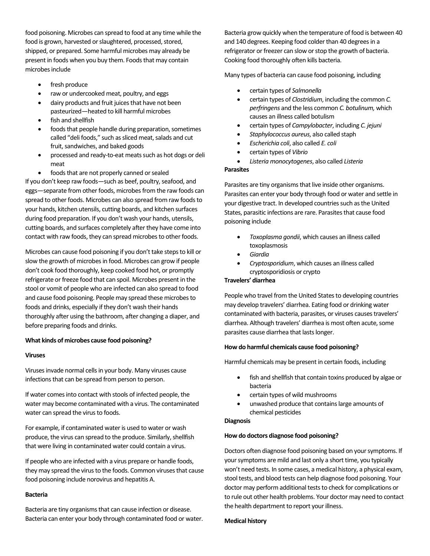food poisoning. Microbes can spread to food at any time while the food is grown, harvested or slaughtered, processed, stored, shipped, or prepared. Some harmful microbes may already be present in foods when you buy them. Foods that may contain microbes include

- fresh produce
- raw or undercooked meat, poultry, and eggs
- dairy products and fruit juices that have not been pasteurized—heated to kill harmful microbes
- fish and shellfish
- foods that people handle during preparation, sometimes called "deli foods," such as sliced meat, salads and cut fruit, sandwiches, and baked goods
- processed and ready-to-eat meats such as hot dogs or deli meat
- foods that are not properly canned or sealed

If you don't keep raw foods—such as beef, poultry, seafood, and eggs—separate from other foods, microbes from the raw foods can spread to other foods. Microbes can also spread from raw foods to your hands, kitchen utensils, cutting boards, and kitchen surfaces during food preparation. If you don't wash your hands, utensils, cutting boards, and surfaces completely after they have come into contact with raw foods, they can spread microbes to other foods.

Microbes can cause food poisoning if you don't take steps to kill or slow the growth of microbes in food. Microbes can grow if people don't cook food thoroughly, keep cooked food hot, or promptly refrigerate or freeze food that can spoil. Microbes present in the stool or vomit of people who are infected can also spread to food and cause food poisoning. People may spread these microbes to foods and drinks, especially if they don't wash their hands thoroughly after using the bathroom, after changing a diaper, and before preparing foods and drinks.

#### **What kinds of microbes cause food poisoning?**

#### **Viruses**

Viruses invade normal cells in your body. Many viruses cause infections that can be spread from person to person.

If water comes into contact with stools of infected people, the water may become contaminated with a virus. The contaminated water can spread the virus to foods.

For example, if contaminated water is used to water or wash produce, the virus can spread to the produce. Similarly, shellfish that were living in contaminated water could contain a virus.

If people who are infected with a virus prepare or handle foods, they may spread the virus to the foods. Common viruses that cause food poisoning include norovirus and hepatitis A.

## **Bacteria**

Bacteria are tiny organisms that can cause infection or disease. Bacteria can enter your body through contaminated food or water.

Bacteria grow quickly when the temperature of food is between 40 and 140 degrees. Keeping food colder than 40 degrees in a refrigerator or freezer can slow or stop the growth of bacteria. Cooking food thoroughly often kills bacteria.

Many types of bacteria can cause food poisoning, including

- certain types of *Salmonella*
- certain types of *Clostridium*, including the common *C. perfringens* and the less common *C. botulinum,* which causes an illness called botulism
- certain types of *Campylobacter*, including *C. jejuni*
- *Staphylococcus aureus*, also called staph
- *Escherichia coli*, also called *E. coli*
- certain types of *Vibrio*
- *Listeria monocytogenes*, also called *Listeria*

## **Parasites**

Parasites are tiny organisms that live inside other organisms. Parasites can enter your body through food or water and settle in your digestive tract. In developed countries such as the United States, parasitic infections are rare. Parasites that cause food poisoning include

- *Toxoplasma gondii*, which causes an illness called toxoplasmosis
- *Giardia*
- *Cryptosporidium*, which causes an illness called cryptosporidiosis or crypto

# **Travelers' diarrhea**

People who travel from the United States to developing countries may develop travelers' diarrhea. Eating food or drinking water contaminated with bacteria, parasites, or viruses causes travelers' diarrhea. Although travelers' diarrhea is most often acute, some parasites cause diarrhea that lasts longer.

#### **How do harmful chemicals cause food poisoning?**

Harmful chemicals may be present in certain foods, including

- fish and shellfish that contain toxins produced by algae or bacteria
- certain types of wild mushrooms
- unwashed produce that contains large amounts of chemical pesticides

## **Diagnosis**

#### **How do doctors diagnose food poisoning?**

Doctors often diagnose food poisoning based on your symptoms. If your symptoms are mild and last only a short time, you typically won't need tests. In some cases, a medical history, a physical exam, stool tests, and blood tests can help diagnose food poisoning. Your doctor may perform additional tests to check for complications or to rule out other health problems. Your doctor may need to contact the health department to report your illness.

#### **Medical history**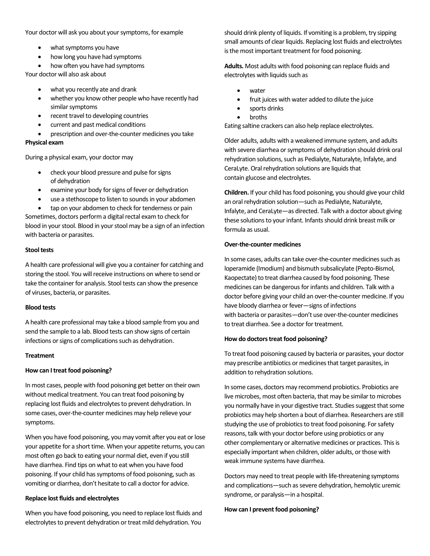Your doctor will ask you about your symptoms, for example

- what symptoms you have
- how long you have had symptoms
- how often you have had symptoms

Your doctor will also ask about

- what you recently ate and drank
- whether you know other people who have recently had similar symptoms
- recent travel to developing countries
- current and past medical conditions
- prescription and over-the-counter medicines you take

# **Physical exam**

During a physical exam, your doctor may

- check your blood pressure and pulse for signs of dehydration
- examine your body for signs of fever or dehydration
- use a stethoscope to listen to sounds in your abdomen

tap on your abdomen to check for tenderness or pain Sometimes, doctors perform a digital rectal exam to check for blood in your stool. Blood in your stool may be a sign of an infection with bacteria or parasites.

## **Stool tests**

A health care professional will give you a container for catching and storing the stool. You will receive instructions on where to send or take the container for analysis. Stool tests can show the presence of viruses, bacteria, or parasites.

#### **Blood tests**

A health care professional may take a blood sample from you and send the sample to a lab. Blood tests can show signs of certain infections or signs of complications such as dehydration.

# **Treatment**

# **How can I treat food poisoning?**

In most cases, people with food poisoning get better on their own without medical treatment. You can treat food poisoning by replacing lost fluids and electrolytes to prevent dehydration. In some cases, over-the-counter medicines may help relieve your symptoms.

When you have food poisoning, you may vomit after you eat or lose your appetite for a short time. When your appetite returns, you can most often go back to eating your normal diet, even if you still have diarrhea. Find tips on what to eat when you have food poisoning. If your child has symptoms of food poisoning, such as vomiting or diarrhea, don't hesitate to call a doctor for advice.

# **Replace lost fluids and electrolytes**

When you have food poisoning, you need to replace lost fluids and electrolytes to prevent dehydration or treat mild dehydration. You

should drink plenty of liquids. If vomiting is a problem, try sipping small amounts of clear liquids. Replacing lost fluids and electrolytes is the most important treatment for food poisoning.

**Adults.** Most adults with food poisoning can replace fluids and electrolytes with liquids such as

- water
- fruit juices with water added to dilute the juice
- sports drinks
- broths

Eating saltine crackers can also help replace electrolytes.

Older adults, adults with a weakened immune system, and adults with severe diarrhea or symptoms of dehydration should drink oral rehydration solutions, such as Pedialyte, Naturalyte, Infalyte, and CeraLyte. Oral rehydration solutions are liquids that contain glucose and electrolytes.

**Children.** If your child has food poisoning, you should give your child an oral rehydration solution—such as Pedialyte, Naturalyte, Infalyte, and CeraLyte—as directed. Talk with a doctor about giving these solutions to your infant. Infants should drink breast milk or formula as usual.

# **Over-the-counter medicines**

In some cases, adults can take over-the-counter medicines such as loperamide (Imodium) and bismuth subsalicylate (Pepto-Bismol, Kaopectate) to treat diarrhea caused by food poisoning. These medicines can be dangerous for infants and children. Talk with a doctor before giving your child an over-the-counter medicine. If you have bloody diarrhea or fever—signs of infections with bacteria or parasites—don't use over-the-counter medicines to treat diarrhea. See a doctor for treatment.

# **How do doctors treat food poisoning?**

To treat food poisoning caused by bacteria or parasites, your doctor may prescribe antibiotics or medicines that target parasites, in addition to rehydration solutions.

In some cases, doctors may recommend probiotics. Probiotics are live microbes, most often bacteria, that may be similar to microbes you normally have in your digestive tract. Studies suggest that some probiotics may help shorten a bout of diarrhea. Researchers are still studying the use of probiotics to treat food poisoning. For safety reasons, talk with your doctor before using probiotics or any other complementary or alternative medicines or practices. This is especially important when children, older adults, or those with weak immune systems have diarrhea.

Doctors may need to treat people with life-threatening symptoms and complications—such as severe dehydration, hemolytic uremic syndrome, or paralysis—in a hospital.

**How can I prevent food poisoning?**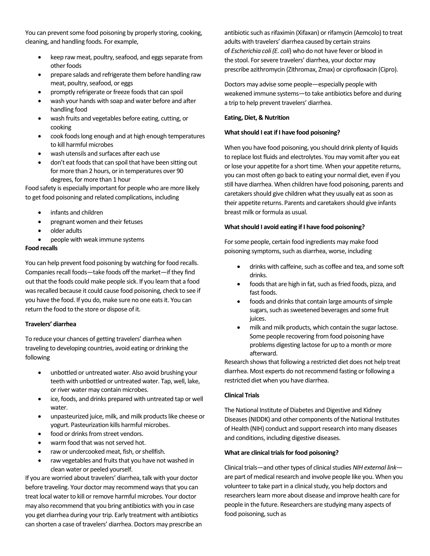You can prevent some food poisoning by properly storing, cooking, cleaning, and handling foods. For example,

- keep raw meat, poultry, seafood, and eggs separate from other foods
- prepare salads and refrigerate them before handling raw meat, poultry, seafood, or eggs
- promptly refrigerate or freeze foods that can spoil
- wash your hands with soap and water before and after handling food
- wash fruits and vegetables before eating, cutting, or cooking
- cook foods long enough and at high enough temperatures to kill harmful microbes
- wash utensils and surfaces after each use
- don't eat foods that can spoil that have been sitting out for more than 2 hours, or in temperatures over 90 degrees, for more than 1 hour

Food safety is especially important for people who are more likely to get food poisoning and related complications, including

- infants and children
- pregnant women and their fetuses
- older adults
- people with weak immune systems

## **Food recalls**

You can help prevent food poisoning by watching for food recalls. Companies recall foods—take foods off the market—if they find out that the foods could make people sick. If you learn that a food was recalled because it could cause food poisoning, check to see if you have the food. If you do, make sure no one eats it. You can return the food to the store or dispose of it.

# **Travelers' diarrhea**

To reduce your chances of getting travelers' diarrhea when traveling to developing countries, avoid eating or drinking the following

- unbottled or untreated water. Also avoid brushing your teeth with unbottled or untreated water. Tap, well, lake, or river water may contain microbes.
- ice, foods, and drinks prepared with untreated tap or well water.
- unpasteurized juice, milk, and milk products like cheese or yogurt. Pasteurization kills harmful microbes.
- food or drinks from street vendors.
- warm food that was not served hot.
- raw or undercooked meat, fish, or shellfish.
- raw vegetables and fruits that you have not washed in clean water or peeled yourself.

If you are worried about travelers' diarrhea, talk with your doctor before traveling. Your doctor may recommend ways that you can treat local water to kill or remove harmful microbes. Your doctor may also recommend that you bring antibiotics with you in case you get diarrhea during your trip. Early treatment with antibiotics can shorten a case of travelers' diarrhea. Doctors may prescribe an

antibiotic such as rifaximin (Xifaxan) or rifamycin (Aemcolo) to treat adults with travelers' diarrhea caused by certain strains of *Escherichia coli (E. coli*) who do not have fever or blood in the stool. For severe travelers' diarrhea, your doctor may prescribe azithromycin (Zithromax, Zmax) or ciprofloxacin (Cipro).

Doctors may advise some people—especially people with weakened immune systems—to take antibiotics before and during a trip to help prevent travelers' diarrhea.

## **Eating, Diet, & Nutrition**

## **What should I eat if I have food poisoning?**

When you have food poisoning, you should drink plenty of liquids to replace lost fluids and electrolytes. You may vomit after you eat or lose your appetite for a short time. When your appetite returns, you can most often go back to eating your normal diet, even if you still have diarrhea. When children have food poisoning, parents and caretakers should give children what they usually eat as soon as their appetite returns. Parents and caretakers should give infants breast milk or formula as usual.

## **What should I avoid eating if I have food poisoning?**

For some people, certain food ingredients may make food poisoning symptoms, such as diarrhea, worse, including

- drinks with caffeine, such as coffee and tea, and some soft drinks.
- foods that are high in fat, such as fried foods, pizza, and fast foods.
- foods and drinks that contain large amounts of simple sugars, such as sweetened beverages and some fruit juices.
- milk and milk products, which contain the sugar lactose. Some people recovering from food poisoning have problems digesting lactose for up to a month or more afterward.

Research shows that following a restricted diet does not help treat diarrhea. Most experts do not recommend fasting or following a restricted diet when you have diarrhea.

# **Clinical Trials**

The National Institute of Diabetes and Digestive and Kidney Diseases (NIDDK) and other components of the National Institutes of Health (NIH) conduct and support research into many diseases and conditions, including digestive diseases.

# **What are clinical trials for food poisoning?**

Clinical trials—and other types of clinical studies *NIH external link* are part of medical research and involve people like you. When you volunteer to take part in a clinical study, you help doctors and researchers learn more about disease and improve health care for people in the future. Researchers are studying many aspects of food poisoning, such as